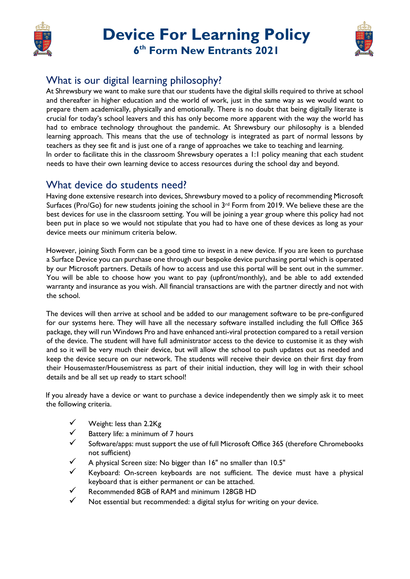

# **Device For Learning Policy 6 th Form New Entrants 2021**



## What is our digital learning philosophy?

At Shrewsbury we want to make sure that our students have the digital skills required to thrive at school and thereafter in higher education and the world of work, just in the same way as we would want to prepare them academically, physically and emotionally. There is no doubt that being digitally literate is crucial for today's school leavers and this has only become more apparent with the way the world has had to embrace technology throughout the pandemic. At Shrewsbury our philosophy is a blended learning approach. This means that the use of technology is integrated as part of normal lessons by teachers as they see fit and is just one of a range of approaches we take to teaching and learning. In order to facilitate this in the classroom Shrewsbury operates a 1:1 policy meaning that each student needs to have their own learning device to access resources during the school day and beyond.

#### What device do students need?

Having done extensive research into devices, Shrewsbury moved to a policy of recommending Microsoft Surfaces (Pro/Go) for new students joining the school in 3<sup>rd</sup> Form from 2019. We believe these are the best devices for use in the classroom setting. You will be joining a year group where this policy had not been put in place so we would not stipulate that you had to have one of these devices as long as your device meets our minimum criteria below.

However, joining Sixth Form can be a good time to invest in a new device. If you are keen to purchase a Surface Device you can purchase one through our bespoke device purchasing portal which is operated by our Microsoft partners. Details of how to access and use this portal will be sent out in the summer. You will be able to choose how you want to pay (upfront/monthly), and be able to add extended warranty and insurance as you wish. All financial transactions are with the partner directly and not with the school.

The devices will then arrive at school and be added to our management software to be pre-configured for our systems here. They will have all the necessary software installed including the full Office 365 package, they will run Windows Pro and have enhanced anti-viral protection compared to a retail version of the device. The student will have full administrator access to the device to customise it as they wish and so it will be very much their device, but will allow the school to push updates out as needed and keep the device secure on our network. The students will receive their device on their first day from their Housemaster/Housemistress as part of their initial induction, they will log in with their school details and be all set up ready to start school!

If you already have a device or want to purchase a device independently then we simply ask it to meet the following criteria.

- Weight: less than 2.2Kg
- Battery life: a minimum of 7 hours
- Software/apps: must support the use of full Microsoft Office 365 (therefore Chromebooks not sufficient)
- A physical Screen size: No bigger than 16" no smaller than 10.5"
- Keyboard: On-screen keyboards are not sufficient. The device must have a physical keyboard that is either permanent or can be attached.
- ✓ Recommended 8GB of RAM and minimum 128GB HD
- Not essential but recommended: a digital stylus for writing on your device.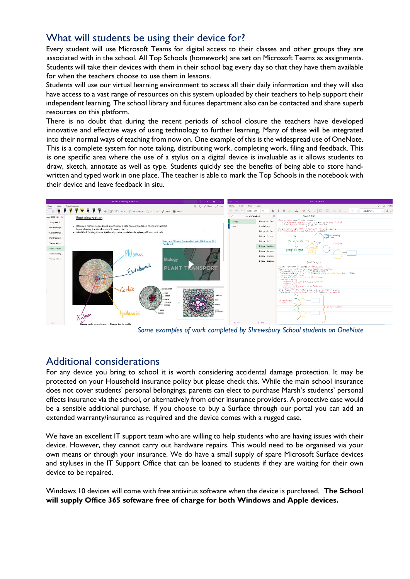### What will students be using their device for?

Every student will use Microsoft Teams for digital access to their classes and other groups they are associated with in the school. All Top Schools (homework) are set on Microsoft Teams as assignments. Students will take their devices with them in their school bag every day so that they have them available for when the teachers choose to use them in lessons.

Students will use our virtual learning environment to access all their daily information and they will also have access to a vast range of resources on this system uploaded by their teachers to help support their independent learning. The school library and futures department also can be contacted and share superb resources on this platform.

There is no doubt that during the recent periods of school closure the teachers have developed innovative and effective ways of using technology to further learning. Many of these will be integrated into their normal ways of teaching from now on. One example of this is the widespread use of OneNote. This is a complete system for note taking, distributing work, completing work, filing and feedback. This is one specific area where the use of a stylus on a digital device is invaluable as it allows students to draw, sketch, annotate as well as type. Students quickly see the benefits of being able to store handwritten and typed work in one place. The teacher is able to mark the Top Schools in the notebook with their device and leave feedback in situ.



*Some examples of work completed by Shrewsbury School students on OneNote*

#### Additional considerations

For any device you bring to school it is worth considering accidental damage protection. It may be protected on your Household insurance policy but please check this. While the main school insurance does not cover students' personal belongings, parents can elect to purchase Marsh's students' personal effects insurance via the school, or alternatively from other insurance providers. A protective case would be a sensible additional purchase. If you choose to buy a Surface through our portal you can add an extended warranty/insurance as required and the device comes with a rugged case.

We have an excellent IT support team who are willing to help students who are having issues with their device. However, they cannot carry out hardware repairs. This would need to be organised via your own means or through your insurance. We do have a small supply of spare Microsoft Surface devices and styluses in the IT Support Office that can be loaned to students if they are waiting for their own device to be repaired.

Windows 10 devices will come with free antivirus software when the device is purchased. **The School will supply Office 365 software free of charge for both Windows and Apple devices.**